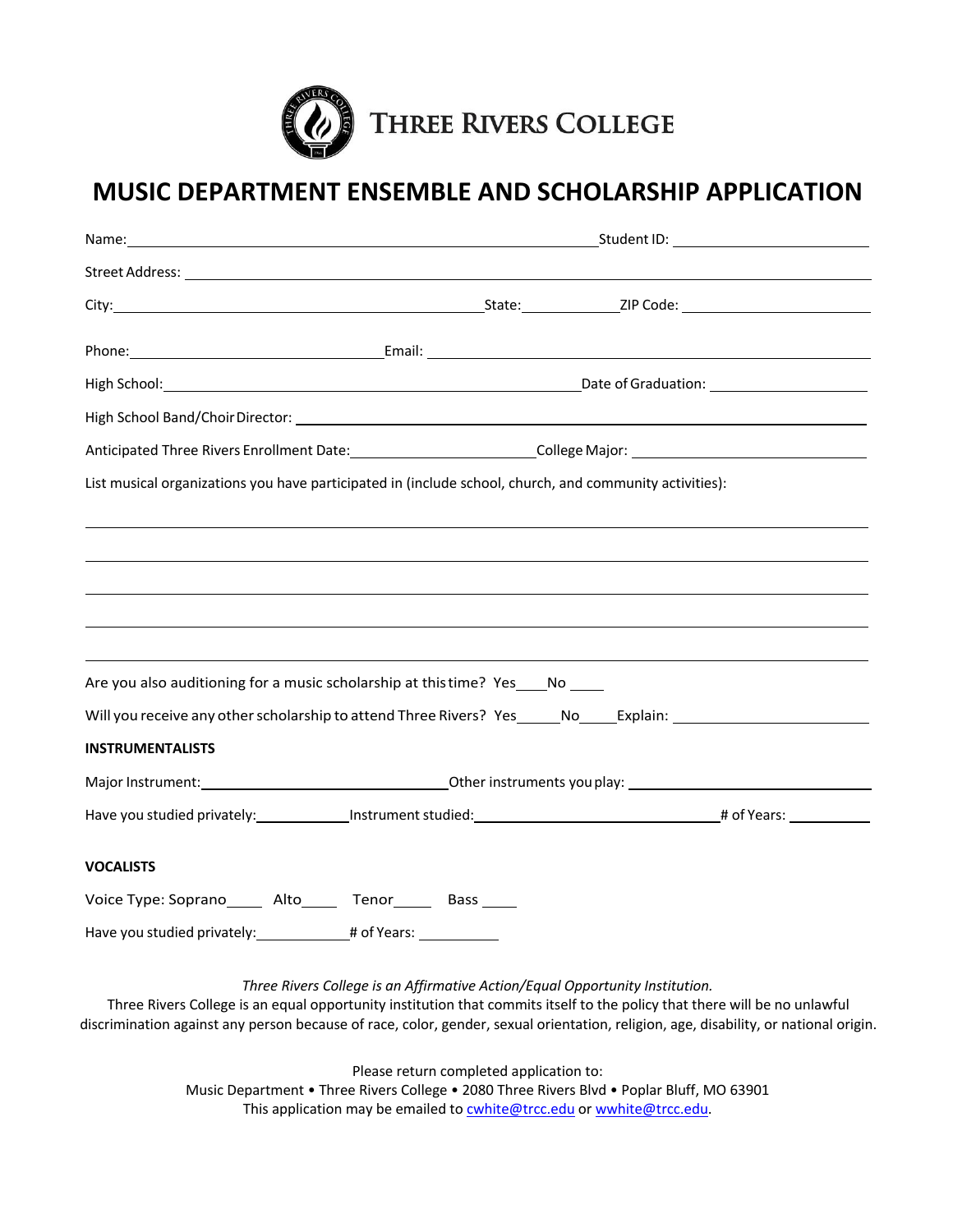

## **MUSIC DEPARTMENT ENSEMBLE AND SCHOLARSHIP APPLICATION**

| Anticipated Three Rivers Enrollment Date: ___________________________College Major: __________________________ |                                                                              |  |  |  |  |  |
|----------------------------------------------------------------------------------------------------------------|------------------------------------------------------------------------------|--|--|--|--|--|
| List musical organizations you have participated in (include school, church, and community activities):        |                                                                              |  |  |  |  |  |
|                                                                                                                |                                                                              |  |  |  |  |  |
| ,我们也不会有什么。""我们的人,我们也不会有什么?""我们的人,我们也不会有什么?""我们的人,我们也不会有什么?""我们的人,我们也不会有什么?""我们的人                               |                                                                              |  |  |  |  |  |
|                                                                                                                |                                                                              |  |  |  |  |  |
|                                                                                                                |                                                                              |  |  |  |  |  |
| ,我们也不会有什么。""我们的人,我们也不会有什么?""我们的人,我们也不会有什么?""我们的人,我们也不会有什么?""我们的人,我们也不会有什么?""我们的人                               |                                                                              |  |  |  |  |  |
| Are you also auditioning for a music scholarship at this time? Yes ____ No _____                               |                                                                              |  |  |  |  |  |
| Will you receive any other scholarship to attend Three Rivers? Yes _____No_____Explain: ______________________ |                                                                              |  |  |  |  |  |
| <b>INSTRUMENTALISTS</b>                                                                                        |                                                                              |  |  |  |  |  |
|                                                                                                                |                                                                              |  |  |  |  |  |
|                                                                                                                |                                                                              |  |  |  |  |  |
| <b>VOCALISTS</b>                                                                                               |                                                                              |  |  |  |  |  |
| Voice Type: Soprano_______ Alto_______ Tenor________ Bass _____                                                |                                                                              |  |  |  |  |  |
| Have you studied privately: ______________# of Years: _____________                                            |                                                                              |  |  |  |  |  |
|                                                                                                                | Three Rivers College is an Affirmative Action/Equal Opportunity Institution. |  |  |  |  |  |

Three Rivers College is an equal opportunity institution that commits itself to the policy that there will be no unlawful discrimination against any person because of race, color, gender, sexual orientation, religion, age, disability, or national origin.

Please return completed application to:

Music Department • Three Rivers College • 2080 Three Rivers Blvd • Poplar Bluff, MO 63901 This application may be emailed to **cwhite@trcc.edu** or wwhite@trcc.edu.